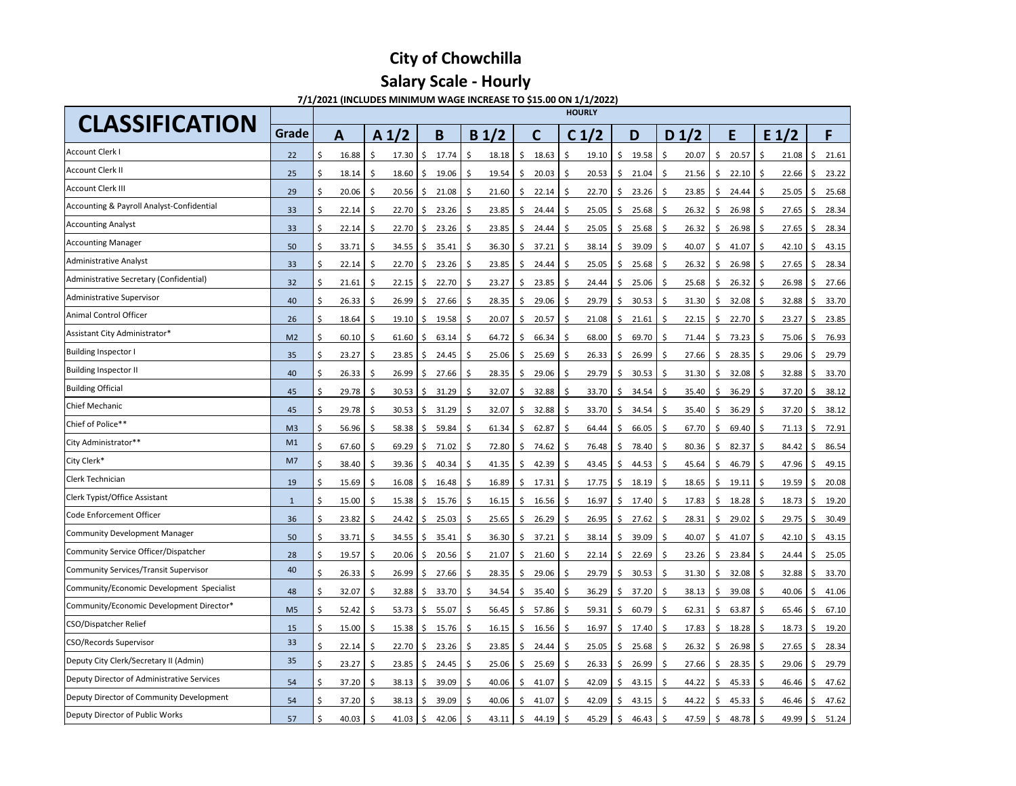| Grade<br>A <sub>1</sub> /2<br>$D_1/2$<br>E<br>F<br>B<br>C <sub>1</sub> /2<br>$E_1/2$<br>B <sub>1</sub> /2<br>D<br>$\mathbf{A}$<br>C<br>Account Clerk I<br>16.88<br>18.63<br>19.10<br>22<br>17.30<br>  \$<br>17.74<br>18.18<br>19.58<br>20.07<br>\$<br>20.57<br>-\$<br>21.08<br>$\zeta$<br>- \$<br>S.<br>Ŝ.<br>\$<br>\$<br>\$<br>Account Clerk II<br>18.14<br>18.60<br>19.06<br>19.54<br>20.03<br>20.53<br>21.04<br>22.10<br>25<br>- \$<br>\$<br>-\$<br>Ŝ.<br>\$<br>21.56<br>5<br>22.66<br>S<br>$\mathsf{S}$<br>-S<br>-Ş<br>Account Clerk III<br>29<br>20.06<br>21.08<br>22.14<br>22.70<br>23.26<br>23.85<br>-\$<br>20.56<br>21.60<br>24.44<br>25.05<br>$\zeta$<br>\$<br>-\$<br>-S<br>-\$<br>\$.<br>-\$<br>-S<br>Accounting & Payroll Analyst-Confidential<br>33<br>22.14<br>22.70<br>23.26<br>23.85<br>24.44<br>25.05<br>25.68<br>26.32<br>26.98<br>27.65<br>S.<br>\$<br>-\$<br><sub>S</sub><br>S.<br>- S<br><b>Accounting Analyst</b><br>33<br>22.14<br>23.26<br>23.85<br>25.05<br>25.68<br>26.32<br>27.65<br>Ŝ.<br>22.70<br>24.44<br>26.98<br>$\zeta$<br>$\ddot{\mathsf{S}}$<br>- S<br>\$<br>\$<br>-\$<br>S<br><sub>S</sub><br><b>Accounting Manager</b><br>33.71<br>36.30<br>37.21<br>38.14<br>39.09<br>50<br>34.55<br>35.41<br>40.07<br>41.07<br>\$<br>42.10<br>$\zeta$<br>-\$<br>- Ş<br>S<br>S.<br>Administrative Analyst<br>33<br>22.14<br>23.26<br>24.44<br>25.68<br>26.32<br>26.98<br>22.70<br>23.85<br>25.05<br>27.65<br>$\ddot{\mathsf{S}}$<br>\$<br>I\$.<br>-S<br><sub>S</sub><br>-S<br>-S<br>Administrative Secretary (Confidential)<br>32<br>21.61<br>22.70<br>23.27<br>23.85<br>25.06<br>26.32<br>22.15<br>24.44<br>25.68<br>26.98<br>$\zeta$<br>-\$<br>I\$.<br>- S<br>-S<br><sub>S</sub><br>-Ş<br>- S<br>Administrative Supervisor<br>27.66<br>29.06<br>29.79<br>30.53<br>32.08<br>40<br>26.33<br>-\$<br>26.99<br>28.35<br>31.30<br>32.88<br>$\zeta$<br>-S<br>-S<br>- Ş<br>-Ş<br><sub>S</sub><br>Animal Control Officer<br>18.64<br>19.10<br>19.58<br>20.07<br>20.57<br>21.08<br>21.61<br>22.15<br>22.70<br>26<br>-\$<br>23.27<br>  \$<br>\$<br>-\$<br>\$<br>-S<br>\$<br>- \$<br>-Ş<br>S.<br>Assistant City Administrator*<br>66.34<br>69.70<br>73.23<br>60.10<br>61.60<br>63.14<br>64.72<br>68.00<br>M <sub>2</sub><br>\$<br>\$<br>71.44<br>75.06<br>$\zeta$<br>\$<br>-S<br><sub>S</sub><br>-\$<br>-S<br>S.<br><b>Building Inspector I</b><br>28.35<br>29.79<br>23.27<br>\$<br>23.85<br>24.45<br>25.06<br>25.69<br>26.33<br>26.99<br>27.66<br>29.06<br>$\zeta$<br>35<br>$\zeta$<br>$\varsigma$<br>\$<br>S<br>-\$<br>$\varsigma$<br>$\varsigma$<br>Ş.<br><b>Building Inspector II</b><br>27.66<br>29.06<br>29.79<br>26.33<br>26.99<br>28.35<br>30.53<br>31.30<br>32.08<br>32.88<br>40<br>\$<br>$\zeta$<br>\$<br>-S<br>-S<br>$\varsigma$<br>-S<br>-S<br>- Ş<br><b>Building Official</b><br>32.88<br>29.78<br>30.53<br>31.29<br>32.07<br>33.70<br>34.54<br>36.29<br>37.20<br>$\zeta$<br>45<br>-\$<br>  \$<br>-\$<br>\$<br>\$<br>35.40<br>-\$<br>$\varsigma$<br>\$<br>-\$<br>Chief Mechanic<br>32.88<br>36.29<br>45<br>29.78<br>30.53<br>31.29<br>32.07<br>33.70<br>34.54<br>35.40<br>37.20<br>$\zeta$<br>-\$<br>$\zeta$<br>\$<br>-S<br>\$<br>$\varsigma$<br>\$.<br>-\$<br>-Ş<br>Chief of Police**<br>56.96<br>58.38<br>59.84<br>61.34<br>62.87<br>64.44<br>66.05<br>67.70<br>69.40<br>M <sub>3</sub><br>-\$<br>-\$<br>71.13<br>$\zeta$<br>$\mathsf{S}$<br>S<br>\$<br>City Administrator**<br>M1<br>\$<br>67.60<br>- \$<br>$\zeta$<br>- \$<br>69.29<br>$71.02$   \$<br>72.80<br>\$<br>74.62<br>\$<br>76.48<br>80.36<br>$\varsigma$<br>82.37<br>84.42<br>$\zeta$<br>\$<br>78.40<br>\$<br>86.54<br>City Clerk*<br>M7<br>38.40<br>42.39<br>43.45<br>44.53<br>46.79<br>47.96<br>-\$<br>39.36<br>40.34<br>41.35<br>45.64<br>\$<br>-Ŝ<br>Š.<br>-\$<br>\$<br><sub>S</sub><br>S.<br>S.<br><b>Clerk Technician</b><br>15.69<br>16.48<br>17.31<br>17.75<br>18.19<br>19.11<br>19.59<br>20.08<br>19<br>\$<br>16.08<br>$\ddot{\mathsf{S}}$<br>16.89<br>18.65<br>\$<br>$\zeta$<br>-\$<br>S.<br>\$.<br>\$<br>\$.<br>S<br>Clerk Typist/Office Assistant<br>15.00<br>15.76<br>16.56<br>16.97<br>17.40<br>18.28<br>18.73<br>19.20<br>15.38<br>16.15<br>\$.<br>17.83<br>$\zeta$<br>$\overline{1}$<br>-S<br>$\zeta$<br>\$.<br>-S<br>S<br>S.<br>-S<br>Code Enforcement Officer<br>36<br>23.82<br>25.03<br>26.29<br>27.62<br>29.02<br>24.42<br>25.65<br>26.95<br>28.31<br>29.75<br>$\zeta$<br>\$<br>$\zeta$<br>-S<br>$\mathsf{S}$<br>-S<br>-S<br>-Ş<br>-S<br>Community Development Manager<br>50<br>33.71<br>35.41<br>37.21<br>38.14<br>39.09<br>40.07<br>41.07<br>$42.10$   \$<br>34.55<br>36.30<br>\$<br>  \$<br>\$<br>-S<br>S<br><sub>S</sub><br>Community Service Officer/Dispatcher<br>19.57<br>20.56<br>23.84<br>28<br>\$<br>20.06<br>21.07<br>21.60<br>22.14<br>22.69<br>23.26<br>24.44<br>$\varsigma$<br>-\$<br>-Ş<br>S<br>-Ş<br>-Ş | <b>CLASSIFICATION</b> | <b>HOURLY</b> |  |  |  |  |  |  |  |       |  |  |  |  |  |
|-----------------------------------------------------------------------------------------------------------------------------------------------------------------------------------------------------------------------------------------------------------------------------------------------------------------------------------------------------------------------------------------------------------------------------------------------------------------------------------------------------------------------------------------------------------------------------------------------------------------------------------------------------------------------------------------------------------------------------------------------------------------------------------------------------------------------------------------------------------------------------------------------------------------------------------------------------------------------------------------------------------------------------------------------------------------------------------------------------------------------------------------------------------------------------------------------------------------------------------------------------------------------------------------------------------------------------------------------------------------------------------------------------------------------------------------------------------------------------------------------------------------------------------------------------------------------------------------------------------------------------------------------------------------------------------------------------------------------------------------------------------------------------------------------------------------------------------------------------------------------------------------------------------------------------------------------------------------------------------------------------------------------------------------------------------------------------------------------------------------------------------------------------------------------------------------------------------------------------------------------------------------------------------------------------------------------------------------------------------------------------------------------------------------------------------------------------------------------------------------------------------------------------------------------------------------------------------------------------------------------------------------------------------------------------------------------------------------------------------------------------------------------------------------------------------------------------------------------------------------------------------------------------------------------------------------------------------------------------------------------------------------------------------------------------------------------------------------------------------------------------------------------------------------------------------------------------------------------------------------------------------------------------------------------------------------------------------------------------------------------------------------------------------------------------------------------------------------------------------------------------------------------------------------------------------------------------------------------------------------------------------------------------------------------------------------------------------------------------------------------------------------------------------------------------------------------------------------------------------------------------------------------------------------------------------------------------------------------------------------------------------------------------------------------------------------------------------------------------------------------------------------------------------------------------------------------------------------------------------------------------------------------------------------------------------------------------------------------------------------------------------------------------------------------------------------------------------------------------------------------------------------------------------------------------------------------------------------------------------------------------------------------------------------------------------------------------------------------------------------------------------------------------------------------------------------------------------|-----------------------|---------------|--|--|--|--|--|--|--|-------|--|--|--|--|--|
|                                                                                                                                                                                                                                                                                                                                                                                                                                                                                                                                                                                                                                                                                                                                                                                                                                                                                                                                                                                                                                                                                                                                                                                                                                                                                                                                                                                                                                                                                                                                                                                                                                                                                                                                                                                                                                                                                                                                                                                                                                                                                                                                                                                                                                                                                                                                                                                                                                                                                                                                                                                                                                                                                                                                                                                                                                                                                                                                                                                                                                                                                                                                                                                                                                                                                                                                                                                                                                                                                                                                                                                                                                                                                                                                                                                                                                                                                                                                                                                                                                                                                                                                                                                                                                                                                                                                                                                                                                                                                                                                                                                                                                                                                                                                                                                                                                   |                       |               |  |  |  |  |  |  |  |       |  |  |  |  |  |
|                                                                                                                                                                                                                                                                                                                                                                                                                                                                                                                                                                                                                                                                                                                                                                                                                                                                                                                                                                                                                                                                                                                                                                                                                                                                                                                                                                                                                                                                                                                                                                                                                                                                                                                                                                                                                                                                                                                                                                                                                                                                                                                                                                                                                                                                                                                                                                                                                                                                                                                                                                                                                                                                                                                                                                                                                                                                                                                                                                                                                                                                                                                                                                                                                                                                                                                                                                                                                                                                                                                                                                                                                                                                                                                                                                                                                                                                                                                                                                                                                                                                                                                                                                                                                                                                                                                                                                                                                                                                                                                                                                                                                                                                                                                                                                                                                                   |                       |               |  |  |  |  |  |  |  | 21.61 |  |  |  |  |  |
|                                                                                                                                                                                                                                                                                                                                                                                                                                                                                                                                                                                                                                                                                                                                                                                                                                                                                                                                                                                                                                                                                                                                                                                                                                                                                                                                                                                                                                                                                                                                                                                                                                                                                                                                                                                                                                                                                                                                                                                                                                                                                                                                                                                                                                                                                                                                                                                                                                                                                                                                                                                                                                                                                                                                                                                                                                                                                                                                                                                                                                                                                                                                                                                                                                                                                                                                                                                                                                                                                                                                                                                                                                                                                                                                                                                                                                                                                                                                                                                                                                                                                                                                                                                                                                                                                                                                                                                                                                                                                                                                                                                                                                                                                                                                                                                                                                   |                       |               |  |  |  |  |  |  |  | 23.22 |  |  |  |  |  |
|                                                                                                                                                                                                                                                                                                                                                                                                                                                                                                                                                                                                                                                                                                                                                                                                                                                                                                                                                                                                                                                                                                                                                                                                                                                                                                                                                                                                                                                                                                                                                                                                                                                                                                                                                                                                                                                                                                                                                                                                                                                                                                                                                                                                                                                                                                                                                                                                                                                                                                                                                                                                                                                                                                                                                                                                                                                                                                                                                                                                                                                                                                                                                                                                                                                                                                                                                                                                                                                                                                                                                                                                                                                                                                                                                                                                                                                                                                                                                                                                                                                                                                                                                                                                                                                                                                                                                                                                                                                                                                                                                                                                                                                                                                                                                                                                                                   |                       |               |  |  |  |  |  |  |  | 25.68 |  |  |  |  |  |
|                                                                                                                                                                                                                                                                                                                                                                                                                                                                                                                                                                                                                                                                                                                                                                                                                                                                                                                                                                                                                                                                                                                                                                                                                                                                                                                                                                                                                                                                                                                                                                                                                                                                                                                                                                                                                                                                                                                                                                                                                                                                                                                                                                                                                                                                                                                                                                                                                                                                                                                                                                                                                                                                                                                                                                                                                                                                                                                                                                                                                                                                                                                                                                                                                                                                                                                                                                                                                                                                                                                                                                                                                                                                                                                                                                                                                                                                                                                                                                                                                                                                                                                                                                                                                                                                                                                                                                                                                                                                                                                                                                                                                                                                                                                                                                                                                                   |                       |               |  |  |  |  |  |  |  | 28.34 |  |  |  |  |  |
|                                                                                                                                                                                                                                                                                                                                                                                                                                                                                                                                                                                                                                                                                                                                                                                                                                                                                                                                                                                                                                                                                                                                                                                                                                                                                                                                                                                                                                                                                                                                                                                                                                                                                                                                                                                                                                                                                                                                                                                                                                                                                                                                                                                                                                                                                                                                                                                                                                                                                                                                                                                                                                                                                                                                                                                                                                                                                                                                                                                                                                                                                                                                                                                                                                                                                                                                                                                                                                                                                                                                                                                                                                                                                                                                                                                                                                                                                                                                                                                                                                                                                                                                                                                                                                                                                                                                                                                                                                                                                                                                                                                                                                                                                                                                                                                                                                   |                       |               |  |  |  |  |  |  |  | 28.34 |  |  |  |  |  |
|                                                                                                                                                                                                                                                                                                                                                                                                                                                                                                                                                                                                                                                                                                                                                                                                                                                                                                                                                                                                                                                                                                                                                                                                                                                                                                                                                                                                                                                                                                                                                                                                                                                                                                                                                                                                                                                                                                                                                                                                                                                                                                                                                                                                                                                                                                                                                                                                                                                                                                                                                                                                                                                                                                                                                                                                                                                                                                                                                                                                                                                                                                                                                                                                                                                                                                                                                                                                                                                                                                                                                                                                                                                                                                                                                                                                                                                                                                                                                                                                                                                                                                                                                                                                                                                                                                                                                                                                                                                                                                                                                                                                                                                                                                                                                                                                                                   |                       |               |  |  |  |  |  |  |  | 43.15 |  |  |  |  |  |
|                                                                                                                                                                                                                                                                                                                                                                                                                                                                                                                                                                                                                                                                                                                                                                                                                                                                                                                                                                                                                                                                                                                                                                                                                                                                                                                                                                                                                                                                                                                                                                                                                                                                                                                                                                                                                                                                                                                                                                                                                                                                                                                                                                                                                                                                                                                                                                                                                                                                                                                                                                                                                                                                                                                                                                                                                                                                                                                                                                                                                                                                                                                                                                                                                                                                                                                                                                                                                                                                                                                                                                                                                                                                                                                                                                                                                                                                                                                                                                                                                                                                                                                                                                                                                                                                                                                                                                                                                                                                                                                                                                                                                                                                                                                                                                                                                                   |                       |               |  |  |  |  |  |  |  | 28.34 |  |  |  |  |  |
|                                                                                                                                                                                                                                                                                                                                                                                                                                                                                                                                                                                                                                                                                                                                                                                                                                                                                                                                                                                                                                                                                                                                                                                                                                                                                                                                                                                                                                                                                                                                                                                                                                                                                                                                                                                                                                                                                                                                                                                                                                                                                                                                                                                                                                                                                                                                                                                                                                                                                                                                                                                                                                                                                                                                                                                                                                                                                                                                                                                                                                                                                                                                                                                                                                                                                                                                                                                                                                                                                                                                                                                                                                                                                                                                                                                                                                                                                                                                                                                                                                                                                                                                                                                                                                                                                                                                                                                                                                                                                                                                                                                                                                                                                                                                                                                                                                   |                       |               |  |  |  |  |  |  |  | 27.66 |  |  |  |  |  |
|                                                                                                                                                                                                                                                                                                                                                                                                                                                                                                                                                                                                                                                                                                                                                                                                                                                                                                                                                                                                                                                                                                                                                                                                                                                                                                                                                                                                                                                                                                                                                                                                                                                                                                                                                                                                                                                                                                                                                                                                                                                                                                                                                                                                                                                                                                                                                                                                                                                                                                                                                                                                                                                                                                                                                                                                                                                                                                                                                                                                                                                                                                                                                                                                                                                                                                                                                                                                                                                                                                                                                                                                                                                                                                                                                                                                                                                                                                                                                                                                                                                                                                                                                                                                                                                                                                                                                                                                                                                                                                                                                                                                                                                                                                                                                                                                                                   |                       |               |  |  |  |  |  |  |  | 33.70 |  |  |  |  |  |
|                                                                                                                                                                                                                                                                                                                                                                                                                                                                                                                                                                                                                                                                                                                                                                                                                                                                                                                                                                                                                                                                                                                                                                                                                                                                                                                                                                                                                                                                                                                                                                                                                                                                                                                                                                                                                                                                                                                                                                                                                                                                                                                                                                                                                                                                                                                                                                                                                                                                                                                                                                                                                                                                                                                                                                                                                                                                                                                                                                                                                                                                                                                                                                                                                                                                                                                                                                                                                                                                                                                                                                                                                                                                                                                                                                                                                                                                                                                                                                                                                                                                                                                                                                                                                                                                                                                                                                                                                                                                                                                                                                                                                                                                                                                                                                                                                                   |                       |               |  |  |  |  |  |  |  | 23.85 |  |  |  |  |  |
|                                                                                                                                                                                                                                                                                                                                                                                                                                                                                                                                                                                                                                                                                                                                                                                                                                                                                                                                                                                                                                                                                                                                                                                                                                                                                                                                                                                                                                                                                                                                                                                                                                                                                                                                                                                                                                                                                                                                                                                                                                                                                                                                                                                                                                                                                                                                                                                                                                                                                                                                                                                                                                                                                                                                                                                                                                                                                                                                                                                                                                                                                                                                                                                                                                                                                                                                                                                                                                                                                                                                                                                                                                                                                                                                                                                                                                                                                                                                                                                                                                                                                                                                                                                                                                                                                                                                                                                                                                                                                                                                                                                                                                                                                                                                                                                                                                   |                       |               |  |  |  |  |  |  |  | 76.93 |  |  |  |  |  |
|                                                                                                                                                                                                                                                                                                                                                                                                                                                                                                                                                                                                                                                                                                                                                                                                                                                                                                                                                                                                                                                                                                                                                                                                                                                                                                                                                                                                                                                                                                                                                                                                                                                                                                                                                                                                                                                                                                                                                                                                                                                                                                                                                                                                                                                                                                                                                                                                                                                                                                                                                                                                                                                                                                                                                                                                                                                                                                                                                                                                                                                                                                                                                                                                                                                                                                                                                                                                                                                                                                                                                                                                                                                                                                                                                                                                                                                                                                                                                                                                                                                                                                                                                                                                                                                                                                                                                                                                                                                                                                                                                                                                                                                                                                                                                                                                                                   |                       |               |  |  |  |  |  |  |  |       |  |  |  |  |  |
|                                                                                                                                                                                                                                                                                                                                                                                                                                                                                                                                                                                                                                                                                                                                                                                                                                                                                                                                                                                                                                                                                                                                                                                                                                                                                                                                                                                                                                                                                                                                                                                                                                                                                                                                                                                                                                                                                                                                                                                                                                                                                                                                                                                                                                                                                                                                                                                                                                                                                                                                                                                                                                                                                                                                                                                                                                                                                                                                                                                                                                                                                                                                                                                                                                                                                                                                                                                                                                                                                                                                                                                                                                                                                                                                                                                                                                                                                                                                                                                                                                                                                                                                                                                                                                                                                                                                                                                                                                                                                                                                                                                                                                                                                                                                                                                                                                   |                       |               |  |  |  |  |  |  |  | 33.70 |  |  |  |  |  |
|                                                                                                                                                                                                                                                                                                                                                                                                                                                                                                                                                                                                                                                                                                                                                                                                                                                                                                                                                                                                                                                                                                                                                                                                                                                                                                                                                                                                                                                                                                                                                                                                                                                                                                                                                                                                                                                                                                                                                                                                                                                                                                                                                                                                                                                                                                                                                                                                                                                                                                                                                                                                                                                                                                                                                                                                                                                                                                                                                                                                                                                                                                                                                                                                                                                                                                                                                                                                                                                                                                                                                                                                                                                                                                                                                                                                                                                                                                                                                                                                                                                                                                                                                                                                                                                                                                                                                                                                                                                                                                                                                                                                                                                                                                                                                                                                                                   |                       |               |  |  |  |  |  |  |  | 38.12 |  |  |  |  |  |
|                                                                                                                                                                                                                                                                                                                                                                                                                                                                                                                                                                                                                                                                                                                                                                                                                                                                                                                                                                                                                                                                                                                                                                                                                                                                                                                                                                                                                                                                                                                                                                                                                                                                                                                                                                                                                                                                                                                                                                                                                                                                                                                                                                                                                                                                                                                                                                                                                                                                                                                                                                                                                                                                                                                                                                                                                                                                                                                                                                                                                                                                                                                                                                                                                                                                                                                                                                                                                                                                                                                                                                                                                                                                                                                                                                                                                                                                                                                                                                                                                                                                                                                                                                                                                                                                                                                                                                                                                                                                                                                                                                                                                                                                                                                                                                                                                                   |                       |               |  |  |  |  |  |  |  | 38.12 |  |  |  |  |  |
|                                                                                                                                                                                                                                                                                                                                                                                                                                                                                                                                                                                                                                                                                                                                                                                                                                                                                                                                                                                                                                                                                                                                                                                                                                                                                                                                                                                                                                                                                                                                                                                                                                                                                                                                                                                                                                                                                                                                                                                                                                                                                                                                                                                                                                                                                                                                                                                                                                                                                                                                                                                                                                                                                                                                                                                                                                                                                                                                                                                                                                                                                                                                                                                                                                                                                                                                                                                                                                                                                                                                                                                                                                                                                                                                                                                                                                                                                                                                                                                                                                                                                                                                                                                                                                                                                                                                                                                                                                                                                                                                                                                                                                                                                                                                                                                                                                   |                       |               |  |  |  |  |  |  |  | 72.91 |  |  |  |  |  |
|                                                                                                                                                                                                                                                                                                                                                                                                                                                                                                                                                                                                                                                                                                                                                                                                                                                                                                                                                                                                                                                                                                                                                                                                                                                                                                                                                                                                                                                                                                                                                                                                                                                                                                                                                                                                                                                                                                                                                                                                                                                                                                                                                                                                                                                                                                                                                                                                                                                                                                                                                                                                                                                                                                                                                                                                                                                                                                                                                                                                                                                                                                                                                                                                                                                                                                                                                                                                                                                                                                                                                                                                                                                                                                                                                                                                                                                                                                                                                                                                                                                                                                                                                                                                                                                                                                                                                                                                                                                                                                                                                                                                                                                                                                                                                                                                                                   |                       |               |  |  |  |  |  |  |  |       |  |  |  |  |  |
|                                                                                                                                                                                                                                                                                                                                                                                                                                                                                                                                                                                                                                                                                                                                                                                                                                                                                                                                                                                                                                                                                                                                                                                                                                                                                                                                                                                                                                                                                                                                                                                                                                                                                                                                                                                                                                                                                                                                                                                                                                                                                                                                                                                                                                                                                                                                                                                                                                                                                                                                                                                                                                                                                                                                                                                                                                                                                                                                                                                                                                                                                                                                                                                                                                                                                                                                                                                                                                                                                                                                                                                                                                                                                                                                                                                                                                                                                                                                                                                                                                                                                                                                                                                                                                                                                                                                                                                                                                                                                                                                                                                                                                                                                                                                                                                                                                   |                       |               |  |  |  |  |  |  |  | 49.15 |  |  |  |  |  |
|                                                                                                                                                                                                                                                                                                                                                                                                                                                                                                                                                                                                                                                                                                                                                                                                                                                                                                                                                                                                                                                                                                                                                                                                                                                                                                                                                                                                                                                                                                                                                                                                                                                                                                                                                                                                                                                                                                                                                                                                                                                                                                                                                                                                                                                                                                                                                                                                                                                                                                                                                                                                                                                                                                                                                                                                                                                                                                                                                                                                                                                                                                                                                                                                                                                                                                                                                                                                                                                                                                                                                                                                                                                                                                                                                                                                                                                                                                                                                                                                                                                                                                                                                                                                                                                                                                                                                                                                                                                                                                                                                                                                                                                                                                                                                                                                                                   |                       |               |  |  |  |  |  |  |  |       |  |  |  |  |  |
|                                                                                                                                                                                                                                                                                                                                                                                                                                                                                                                                                                                                                                                                                                                                                                                                                                                                                                                                                                                                                                                                                                                                                                                                                                                                                                                                                                                                                                                                                                                                                                                                                                                                                                                                                                                                                                                                                                                                                                                                                                                                                                                                                                                                                                                                                                                                                                                                                                                                                                                                                                                                                                                                                                                                                                                                                                                                                                                                                                                                                                                                                                                                                                                                                                                                                                                                                                                                                                                                                                                                                                                                                                                                                                                                                                                                                                                                                                                                                                                                                                                                                                                                                                                                                                                                                                                                                                                                                                                                                                                                                                                                                                                                                                                                                                                                                                   |                       |               |  |  |  |  |  |  |  |       |  |  |  |  |  |
|                                                                                                                                                                                                                                                                                                                                                                                                                                                                                                                                                                                                                                                                                                                                                                                                                                                                                                                                                                                                                                                                                                                                                                                                                                                                                                                                                                                                                                                                                                                                                                                                                                                                                                                                                                                                                                                                                                                                                                                                                                                                                                                                                                                                                                                                                                                                                                                                                                                                                                                                                                                                                                                                                                                                                                                                                                                                                                                                                                                                                                                                                                                                                                                                                                                                                                                                                                                                                                                                                                                                                                                                                                                                                                                                                                                                                                                                                                                                                                                                                                                                                                                                                                                                                                                                                                                                                                                                                                                                                                                                                                                                                                                                                                                                                                                                                                   |                       |               |  |  |  |  |  |  |  | 30.49 |  |  |  |  |  |
|                                                                                                                                                                                                                                                                                                                                                                                                                                                                                                                                                                                                                                                                                                                                                                                                                                                                                                                                                                                                                                                                                                                                                                                                                                                                                                                                                                                                                                                                                                                                                                                                                                                                                                                                                                                                                                                                                                                                                                                                                                                                                                                                                                                                                                                                                                                                                                                                                                                                                                                                                                                                                                                                                                                                                                                                                                                                                                                                                                                                                                                                                                                                                                                                                                                                                                                                                                                                                                                                                                                                                                                                                                                                                                                                                                                                                                                                                                                                                                                                                                                                                                                                                                                                                                                                                                                                                                                                                                                                                                                                                                                                                                                                                                                                                                                                                                   |                       |               |  |  |  |  |  |  |  | 43.15 |  |  |  |  |  |
|                                                                                                                                                                                                                                                                                                                                                                                                                                                                                                                                                                                                                                                                                                                                                                                                                                                                                                                                                                                                                                                                                                                                                                                                                                                                                                                                                                                                                                                                                                                                                                                                                                                                                                                                                                                                                                                                                                                                                                                                                                                                                                                                                                                                                                                                                                                                                                                                                                                                                                                                                                                                                                                                                                                                                                                                                                                                                                                                                                                                                                                                                                                                                                                                                                                                                                                                                                                                                                                                                                                                                                                                                                                                                                                                                                                                                                                                                                                                                                                                                                                                                                                                                                                                                                                                                                                                                                                                                                                                                                                                                                                                                                                                                                                                                                                                                                   |                       |               |  |  |  |  |  |  |  | 25.05 |  |  |  |  |  |
| Community Services/Transit Supervisor<br>40<br>26.33<br>27.66<br>29.06<br>29.79<br>30.53<br>32.08<br>\$<br>26.99<br>28.35<br>31.30<br>32.88<br>-\$<br>\$<br>$\varsigma$<br>-Ş<br>-S<br><sub>S</sub><br>Ş.                                                                                                                                                                                                                                                                                                                                                                                                                                                                                                                                                                                                                                                                                                                                                                                                                                                                                                                                                                                                                                                                                                                                                                                                                                                                                                                                                                                                                                                                                                                                                                                                                                                                                                                                                                                                                                                                                                                                                                                                                                                                                                                                                                                                                                                                                                                                                                                                                                                                                                                                                                                                                                                                                                                                                                                                                                                                                                                                                                                                                                                                                                                                                                                                                                                                                                                                                                                                                                                                                                                                                                                                                                                                                                                                                                                                                                                                                                                                                                                                                                                                                                                                                                                                                                                                                                                                                                                                                                                                                                                                                                                                                         |                       |               |  |  |  |  |  |  |  | 33.70 |  |  |  |  |  |
| Community/Economic Development Specialist<br>32.07<br>33.70<br>37.20<br>48<br>32.88<br>34.54<br>35.40<br>36.29<br>38.13<br>39.08<br>40.06<br>\$<br>$\zeta$<br>$\varsigma$<br>-S<br>S<br>-S<br>-Ş                                                                                                                                                                                                                                                                                                                                                                                                                                                                                                                                                                                                                                                                                                                                                                                                                                                                                                                                                                                                                                                                                                                                                                                                                                                                                                                                                                                                                                                                                                                                                                                                                                                                                                                                                                                                                                                                                                                                                                                                                                                                                                                                                                                                                                                                                                                                                                                                                                                                                                                                                                                                                                                                                                                                                                                                                                                                                                                                                                                                                                                                                                                                                                                                                                                                                                                                                                                                                                                                                                                                                                                                                                                                                                                                                                                                                                                                                                                                                                                                                                                                                                                                                                                                                                                                                                                                                                                                                                                                                                                                                                                                                                  |                       |               |  |  |  |  |  |  |  | 41.06 |  |  |  |  |  |
| Community/Economic Development Director*<br>60.79<br>52.42<br>53.73<br>$\ddot{\zeta}$<br>55.07<br>57.86<br>59.31<br>62.31<br>63.87<br>M <sub>5</sub><br>$\varsigma$<br>56.45<br>$\varsigma$<br>65.46<br>$\varsigma$<br>-\$<br>\$.<br>$\mathsf{S}$<br>$\varsigma$<br>\$<br>$\mathsf{S}$                                                                                                                                                                                                                                                                                                                                                                                                                                                                                                                                                                                                                                                                                                                                                                                                                                                                                                                                                                                                                                                                                                                                                                                                                                                                                                                                                                                                                                                                                                                                                                                                                                                                                                                                                                                                                                                                                                                                                                                                                                                                                                                                                                                                                                                                                                                                                                                                                                                                                                                                                                                                                                                                                                                                                                                                                                                                                                                                                                                                                                                                                                                                                                                                                                                                                                                                                                                                                                                                                                                                                                                                                                                                                                                                                                                                                                                                                                                                                                                                                                                                                                                                                                                                                                                                                                                                                                                                                                                                                                                                            |                       |               |  |  |  |  |  |  |  | 67.10 |  |  |  |  |  |
| CSO/Dispatcher Relief<br>$15.76$ $\frac{1}{5}$<br>16.56<br>15.00<br>15.38<br>16.15<br>16.97<br>17.40<br>17.83<br>18.28<br>18.73<br>15<br>-\$<br>  \$<br>\$<br>\$<br>$\varsigma$<br>\$.<br>$\mathsf{S}$<br>-\$<br>-Ş                                                                                                                                                                                                                                                                                                                                                                                                                                                                                                                                                                                                                                                                                                                                                                                                                                                                                                                                                                                                                                                                                                                                                                                                                                                                                                                                                                                                                                                                                                                                                                                                                                                                                                                                                                                                                                                                                                                                                                                                                                                                                                                                                                                                                                                                                                                                                                                                                                                                                                                                                                                                                                                                                                                                                                                                                                                                                                                                                                                                                                                                                                                                                                                                                                                                                                                                                                                                                                                                                                                                                                                                                                                                                                                                                                                                                                                                                                                                                                                                                                                                                                                                                                                                                                                                                                                                                                                                                                                                                                                                                                                                               |                       |               |  |  |  |  |  |  |  | 19.20 |  |  |  |  |  |
| CSO/Records Supervisor<br>33<br>\$<br>$23.26$ \$<br>22.14<br>$22.70$   \$<br>23.85<br>24.44<br>25.05<br>25.68<br>26.32<br>26.98<br>- \$<br>$\zeta$<br>\$<br>27.65<br>-\$<br>\$.<br>-\$<br>$\varsigma$<br>-Ş                                                                                                                                                                                                                                                                                                                                                                                                                                                                                                                                                                                                                                                                                                                                                                                                                                                                                                                                                                                                                                                                                                                                                                                                                                                                                                                                                                                                                                                                                                                                                                                                                                                                                                                                                                                                                                                                                                                                                                                                                                                                                                                                                                                                                                                                                                                                                                                                                                                                                                                                                                                                                                                                                                                                                                                                                                                                                                                                                                                                                                                                                                                                                                                                                                                                                                                                                                                                                                                                                                                                                                                                                                                                                                                                                                                                                                                                                                                                                                                                                                                                                                                                                                                                                                                                                                                                                                                                                                                                                                                                                                                                                       |                       |               |  |  |  |  |  |  |  | 28.34 |  |  |  |  |  |
| Deputy City Clerk/Secretary II (Admin)<br>35<br>23.27<br>24.45<br>25.69<br>26.99<br>28.35<br>-\$<br>23.85<br>25.06<br>26.33<br>27.66<br>29.06<br>  \$<br>$\varsigma$<br>- S<br>-\$<br>-\$<br>-Ş<br>-S<br>-Ş<br>-Ş                                                                                                                                                                                                                                                                                                                                                                                                                                                                                                                                                                                                                                                                                                                                                                                                                                                                                                                                                                                                                                                                                                                                                                                                                                                                                                                                                                                                                                                                                                                                                                                                                                                                                                                                                                                                                                                                                                                                                                                                                                                                                                                                                                                                                                                                                                                                                                                                                                                                                                                                                                                                                                                                                                                                                                                                                                                                                                                                                                                                                                                                                                                                                                                                                                                                                                                                                                                                                                                                                                                                                                                                                                                                                                                                                                                                                                                                                                                                                                                                                                                                                                                                                                                                                                                                                                                                                                                                                                                                                                                                                                                                                 |                       |               |  |  |  |  |  |  |  | 29.79 |  |  |  |  |  |
| Deputy Director of Administrative Services<br>\$<br>37.20<br>38.13<br>$39.09$   \$<br>40.06<br>41.07<br>$\zeta$<br>42.09<br>43.15<br>44.22<br>45.33<br>\$<br>54<br>-\$<br>  \$<br>\$<br>$\varsigma$<br>- \$<br>46.46<br>$\mathsf{S}$<br>$\mathsf{S}$                                                                                                                                                                                                                                                                                                                                                                                                                                                                                                                                                                                                                                                                                                                                                                                                                                                                                                                                                                                                                                                                                                                                                                                                                                                                                                                                                                                                                                                                                                                                                                                                                                                                                                                                                                                                                                                                                                                                                                                                                                                                                                                                                                                                                                                                                                                                                                                                                                                                                                                                                                                                                                                                                                                                                                                                                                                                                                                                                                                                                                                                                                                                                                                                                                                                                                                                                                                                                                                                                                                                                                                                                                                                                                                                                                                                                                                                                                                                                                                                                                                                                                                                                                                                                                                                                                                                                                                                                                                                                                                                                                              |                       |               |  |  |  |  |  |  |  | 47.62 |  |  |  |  |  |
| Deputy Director of Community Development<br>54<br>37.20<br>$39.09$   \$<br>40.06<br>41.07<br>42.09<br>43.15<br>44.22<br>$45.33 \mid \zeta$<br>46.46<br>- \$<br>38.13<br>$\vert \xi \vert$<br>\$<br>$\zeta$<br>\$<br>$\zeta$<br>\$<br>-S                                                                                                                                                                                                                                                                                                                                                                                                                                                                                                                                                                                                                                                                                                                                                                                                                                                                                                                                                                                                                                                                                                                                                                                                                                                                                                                                                                                                                                                                                                                                                                                                                                                                                                                                                                                                                                                                                                                                                                                                                                                                                                                                                                                                                                                                                                                                                                                                                                                                                                                                                                                                                                                                                                                                                                                                                                                                                                                                                                                                                                                                                                                                                                                                                                                                                                                                                                                                                                                                                                                                                                                                                                                                                                                                                                                                                                                                                                                                                                                                                                                                                                                                                                                                                                                                                                                                                                                                                                                                                                                                                                                           |                       |               |  |  |  |  |  |  |  | 47.62 |  |  |  |  |  |
| Deputy Director of Public Works<br>$40.03$   \$<br>41.03<br>$\zeta$<br>$42.06$   \$<br>43.11<br>44.19<br>45.29<br>46.43<br>47.59<br>48.78<br>49.99<br>57<br>\$<br>\$<br>∣\$<br>$\zeta$<br>-S<br>\$.<br>-Ş                                                                                                                                                                                                                                                                                                                                                                                                                                                                                                                                                                                                                                                                                                                                                                                                                                                                                                                                                                                                                                                                                                                                                                                                                                                                                                                                                                                                                                                                                                                                                                                                                                                                                                                                                                                                                                                                                                                                                                                                                                                                                                                                                                                                                                                                                                                                                                                                                                                                                                                                                                                                                                                                                                                                                                                                                                                                                                                                                                                                                                                                                                                                                                                                                                                                                                                                                                                                                                                                                                                                                                                                                                                                                                                                                                                                                                                                                                                                                                                                                                                                                                                                                                                                                                                                                                                                                                                                                                                                                                                                                                                                                         |                       |               |  |  |  |  |  |  |  | 51.24 |  |  |  |  |  |

#### **7/1/2021 (INCLUDES MINIMUM WAGE INCREASE TO \$15.00 ON 1/1/2022)**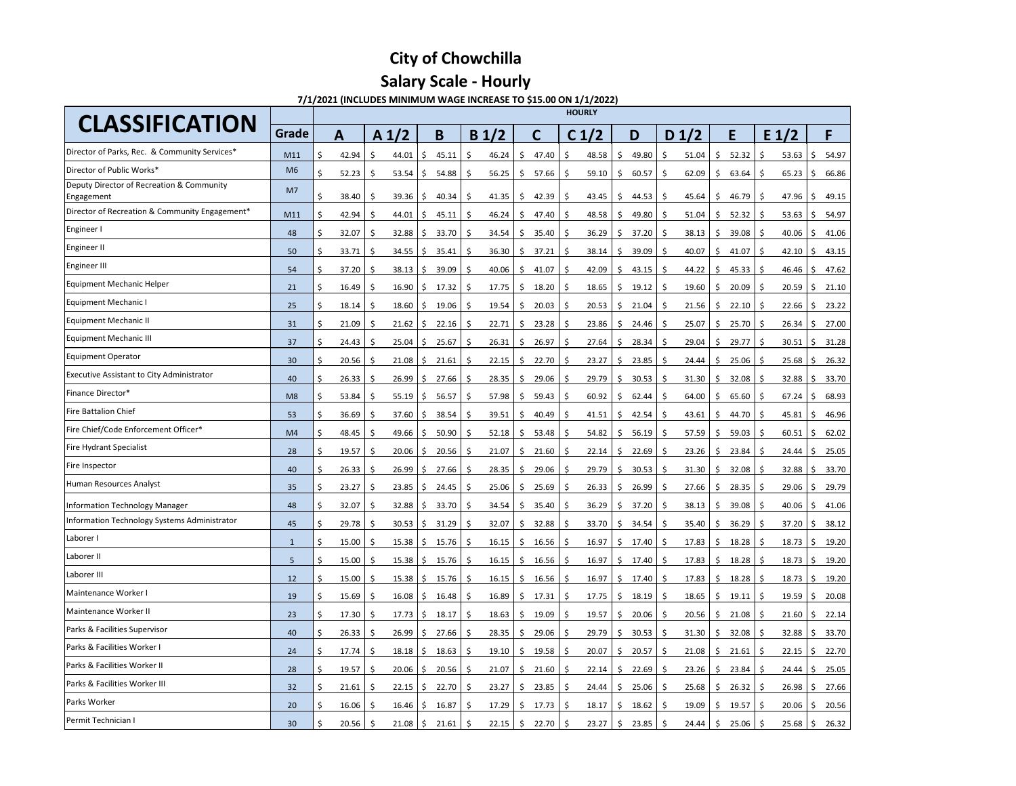### **7/1/2021 (INCLUDES MINIMUM WAGE INCREASE TO \$15.00 ON 1/1/2022)**

| <b>CLASSIFICATION</b>                                   |                |                      |                         |                                     |                       |                       | <b>HOURLY</b>                                |                                |                       |                                                    |
|---------------------------------------------------------|----------------|----------------------|-------------------------|-------------------------------------|-----------------------|-----------------------|----------------------------------------------|--------------------------------|-----------------------|----------------------------------------------------|
|                                                         | <b>Grade</b>   | A                    | A <sub>1</sub> /2       | B                                   | B <sub>1/2</sub>      | C                     | C <sub>1</sub> /2                            | D <sub>1</sub> /2<br>D         | E                     | $E_1/2$<br>F                                       |
| Director of Parks, Rec. & Community Services*           | M11            | Ŝ.<br>42.94          | 44.01<br>Ŝ.             | 45.11<br>-\$                        | 46.24<br>S.           | 47.40<br><sub>S</sub> | 48.58<br>\$<br>S                             | 49.80<br>51.04<br>-\$          | 52.32<br>\$.          | 54.97<br>53.63<br>$\zeta$<br>-S                    |
| Director of Public Works*                               | M <sub>6</sub> | \$<br>52.23          | 53.54<br>-S             | 54.88<br>-S                         | 56.25                 | 57.66<br>-S           | 59.10<br>\$.<br><sub>S</sub>                 | 60.57<br>62.09<br>\$           | 63.64<br>Ş.           | 65.23<br>$\zeta$<br>66.86                          |
| Deputy Director of Recreation & Community<br>Engagement | M <sub>7</sub> | Ŝ.<br>38.40          | 39.36<br>-S             | 40.34<br>- \$                       | 41.35<br>S.           | 42.39<br>Ŝ.           | S.<br>43.45<br>\$.                           | 44.53<br>\$<br>45.64           | 46.79<br>S.           | 47.96<br>$\zeta$<br>49.15<br>- S                   |
| Director of Recreation & Community Engagement*          | M11            | 42.94                | 44.01                   | 45.11<br>-S                         | 46.24<br>-S           | 47.40<br><sub>S</sub> | -\$<br>48.58<br>-S                           | 49.80<br>51.04<br>-S           | 52.32<br>S.           | 53.63<br>$\ddot{\varsigma}$<br>54.97<br>l S        |
| Engineer I                                              | 48             | \$<br>32.07          | 32.88<br>-S             | 33.70<br>-S                         | 34.54<br>-S           | 35.40<br><sub>S</sub> | 36.29<br>-\$<br>\$.                          | 37.20<br>38.13<br>\$           | 39.08<br><sub>S</sub> | 40.06<br>41.06<br>$\mathsf{S}$<br>- \$             |
| Engineer II                                             | 50             | \$<br>33.71          | 34.55<br>-S             | $35.41 \mid \xi$<br>-S              | 36.30                 | 37.21<br>S.           | 38.14<br>$\mathsf{S}$<br>\$                  | 39.09<br>40.07<br>-\$          | 41.07<br><sub>S</sub> | 42.10<br>$\ddot{\varsigma}$<br>43.15<br>-\$        |
| Engineer III                                            | 54             | \$<br>37.20          | 38.13<br>-S             | 39.09<br>-S                         | 40.06<br>-S           | 41.07<br>S            | 42.09<br>-\$<br>\$.                          | 44.22<br>43.15<br>-\$          | 45.33<br>-S           | 47.62<br>46.46<br>$\mathsf{S}$<br>- S              |
| Equipment Mechanic Helper                               | 21             | $\varsigma$<br>16.49 | 16.90<br>-S             | 17.32<br>-Ş                         | 17.75<br>\$           | 18.20<br>S            | 18.65<br>$\mathsf{S}$<br>\$                  | 19.12<br>19.60<br>\$,          | 20.09<br>-Ş           | 20.59<br>$\varsigma$<br>21.10<br>-Ş                |
| Equipment Mechanic I                                    | 25             | \$<br>18.14          | 18.60<br>-\$            | 19.06<br>-Ş                         | 19.54<br>-S           | 20.03<br>S            | 20.53<br>$\mathsf{S}$<br>\$                  | 21.04<br>21.56<br>\$           | 22.10<br><sub>S</sub> | 23.22<br>22.66<br>$\varsigma$<br>l Ş               |
| <b>Equipment Mechanic II</b>                            | 31             | $\zeta$<br>21.09     | 21.62<br>\$             | 22.16<br>-S                         | 22.71<br>-\$          | 23.28<br>S            | 23.86<br>-\$<br>-S                           | 25.07<br>24.46<br>-\$          | 25.70<br>-Ş           | 26.34<br>27.00<br>$\varsigma$<br>I \$              |
| <b>Equipment Mechanic III</b>                           | 37             | $\zeta$<br>24.43     | 25.04<br>\$             | $25.67$   \$<br>S,                  | 26.31                 | 26.97<br>\$           | 27.64<br>$\mathsf{S}$<br>-\$                 | 28.34<br>29.04<br>\$           | 29.77<br>-S           | 30.51<br>31.28<br>-\$<br>$\zeta$                   |
| <b>Equipment Operator</b>                               | 30             | $\zeta$<br>20.56     | 21.08<br>\$             | $21.61$   \$<br>S,                  | 22.15                 | 22.70<br>-S           | 23.27<br>-\$<br>\$                           | 23.85<br>24.44<br>-\$          | 25.06<br>-S           | 25.68<br>26.32<br>$\mathsf{S}$<br>l Ş              |
| <b>Executive Assistant to City Administrator</b>        | 40             | \$<br>26.33          | 26.99<br>-\$            | 27.66<br>S.                         | 28.35<br>-S           | 29.06<br>\$           | 29.79<br>$\mathsf{S}$<br>\$                  | 30.53<br>31.30<br>-\$          | 32.08<br>-Ş           | 33.70<br>32.88<br>l \$<br>$\mathsf{S}$             |
| Finance Director*                                       | M <sub>8</sub> | Ŝ.<br>53.84          | 55.19<br>-S             | 56.57<br>S.                         | 57.98<br>- S          | 59.43<br>S            | 60.92<br>-S<br>-S                            | 62.44<br>64.00<br>-Ş           | 65.60<br>-S           | 67.24<br>68.93<br>$\mathsf{S}$<br>l Ş              |
| <b>Fire Battalion Chief</b>                             | 53             | \$<br>36.69          | 37.60<br>-\$            | 38.54<br>S.                         | 39.51<br><sub>S</sub> | 40.49<br>-Ş           | 41.51<br>\$<br>-\$                           | 42.54<br>43.61<br>\$,          | 44.70<br>-Ş           | 45.81<br>$\varsigma$<br>46.96<br>ΙŞ                |
| Fire Chief/Code Enforcement Officer*                    | M <sub>4</sub> | 48.45                | 49.66<br>-S             | 50.90<br>-S                         | 52.18                 | 53.48<br>S.           | 54.82<br>\$<br>-S                            | 56.19<br>57.59<br>-Ş           | 59.03<br>-Ş           | 60.51<br>62.02<br>$\varsigma$<br>-S                |
| Fire Hydrant Specialist                                 | 28             | \$<br>19.57          | \$<br>20.06             | $\ddot{\mathsf{S}}$<br>$20.56$   \$ | 21.07                 | \$<br>21.60           | S.<br>22.14<br>\$                            | 22.69<br>\$<br>23.26           | \$<br>23.84           | I \$<br>24.44<br>$\ddot{\mathsf{S}}$<br>25.05      |
| Fire Inspector                                          | 40             | Ŝ.<br>26.33          | 26.99<br>-S             | $27.66$   \$<br>l \$                | 28.35                 | 29.06<br>-S           | 29.79<br>Ŝ.<br>\$                            | 30.53<br>31.30<br>\$           | $32.08$   \$<br>S.    | 33.70<br>32.88<br>$\mathsf{S}$                     |
| Human Resources Analyst                                 | 35             | $\zeta$<br>23.27     | 23.85<br>\$             | 24.45<br>$\sqrt{5}$                 | 25.06<br>-S           | 25.69<br>S            | \$<br>26.33<br>$\mathsf{S}$                  | 26.99<br>27.66<br>\$           | 28.35<br>-S           | 29.79<br>29.06<br>-\$<br>- S                       |
| Information Technology Manager                          | 48             | $\zeta$<br>32.07     | $32.88$   \$<br>-\$     | $33.70$   \$                        | 34.54                 | 35.40<br>\$           | $\ddot{\mathsf{S}}$<br>36.29<br>$\mathsf{S}$ | 37.20<br>38.13<br>$\zeta$      | $39.08$   \$<br>-S    | 40.06<br>41.06<br>$\ddot{\varsigma}$               |
| Information Technology Systems Administrator            | 45             | $\zeta$<br>29.78     | 30.53<br>-S             | $31.29$   \$<br>S,                  | 32.07                 | 32.88<br>-S           | 33.70<br>$\mathsf{S}$<br>-S                  | 34.54<br>35.40<br>\$           | 36.29<br>-S           | 37.20<br>38.12<br>-\$<br>- S                       |
| Laborer I                                               | -1             | $\zeta$<br>15.00     | 15.38<br>-\$            | $15.76 \mid \xi$<br>- S             | 16.15                 | 16.56<br>\$           | 16.97<br>-\$<br>$\zeta$                      | 17.40<br>\$<br>17.83           | 18.28<br>$\mathsf{S}$ | 18.73<br>$\ddot{\varsigma}$<br>19.20<br>l \$       |
| Laborer II                                              | 5              | $\zeta$<br>15.00     | 15.38<br>\$             | $15.76$   \$<br>- S                 | 16.15                 | 16.56<br>-S           | 16.97<br>$\zeta$<br>$\zeta$                  | 17.40<br>17.83<br>$\zeta$      | 18.28<br>\$           | 18.73<br>19.20<br>$\ddot{\varsigma}$<br>l Ş        |
| Laborer III                                             | 12             | \$<br>15.00          | $15.38$   \$<br>-\$     | $15.76$   \$                        | 16.15                 | 16.56<br>\$           | $\ddot{\zeta}$<br>16.97<br>$\zeta$           | 17.40<br>17.83<br>$\varsigma$  | 18.28<br>$\mathsf{S}$ | 18.73<br>19.20<br>$\zeta$<br><b>1\$</b>            |
| Maintenance Worker I                                    | 19             | $\zeta$<br>15.69     | $16.08$   \$<br>-\$     | $16.48$   \$                        | 16.89                 | 17.31<br>-Ş           | 17.75<br>\$<br>$\mathsf{S}$                  | 18.19<br>18.65<br>\$           | $19.11$ \$<br>S.      | 19.59<br>20.08<br>-Ş                               |
| Maintenance Worker II                                   | 23             | $\zeta$<br>17.30     | $17.73 \mid \xi$<br>-\$ | $18.17 \mid \zeta$                  | 18.63                 | 19.09<br>-Ş           | 19.57<br>$\zeta$<br>$\varsigma$              | 20.06<br>20.56<br>-\$          | 21.08<br>-Ş           | 21.60<br>22.14<br>$\vert$ \$<br>$\mathsf{S}$       |
| Parks & Facilities Supervisor                           | 40             | $\zeta$<br>26.33     | 26.99<br>-\$            | $27.66$   \$<br>l \$                | 28.35                 | 29.06<br>-S           | 29.79<br>$\zeta$<br>$\mathsf{S}$             | 30.53<br>31.30<br>$\mathsf{S}$ | $32.08$   \$<br>\$.   | 32.88<br>33.70<br>$\zeta$                          |
| Parks & Facilities Worker I                             | 24             | $\zeta$<br>17.74     | \$<br>$18.18$   \$      | $18.63 \mid \zeta$                  | 19.10                 | 19.58<br><sub>S</sub> | 20.07<br>\$<br>\$                            | 20.57<br>21.08<br>\$.          | 21.61<br>-Ş           | 22.70<br>22.15<br>I\$.<br>$\overline{\phantom{a}}$ |
| Parks & Facilities Worker II                            | 28             | $\zeta$<br>19.57     | \$<br>20.06             | $20.56$   \$<br>l \$                | 21.07                 | 21.60<br>\$           | \$<br>22.14<br>\$                            | 22.69<br>23.26<br>\$.          | 23.84<br>$\mathsf{S}$ | 25.05<br>24.44<br>l \$<br>1\$                      |
| Parks & Facilities Worker III                           | 32             | Ŝ.<br>21.61          | 22.15<br><sub>S</sub>   | $22.70$   \$<br>l \$                | 23.27                 | 23.85<br>S.           | 24.44<br>S.<br>Ş.                            | 25.06<br>25.68<br>-\$          | $26.32$   \$<br>S.    | 27.66<br>26.98<br>$\mathsf{S}$                     |
| Parks Worker                                            | 20             | 16.06<br>\$          | $16.46$   \$<br>-Ş      | $16.87 \mid \xi$                    | 17.29                 | 17.73<br>-Ş           | \$<br>18.17<br>\$                            | 18.62<br>19.09<br>$\mathsf{S}$ | 19.57<br>-S           | 20.56<br>20.06<br>$\zeta$<br>l Ş                   |
| Permit Technician I                                     | 30             | 20.56                | $21.08$   \$<br>-S      | $21.61 \mid \zeta$                  | 22.15                 | 22.70<br>-Ş           | 23.27<br>\$<br>-S                            | 23.85<br>24.44<br>-Ş           | 25.06                 | $25.68$   \$<br>26.32<br>IS.                       |
|                                                         |                |                      |                         |                                     |                       |                       |                                              |                                |                       |                                                    |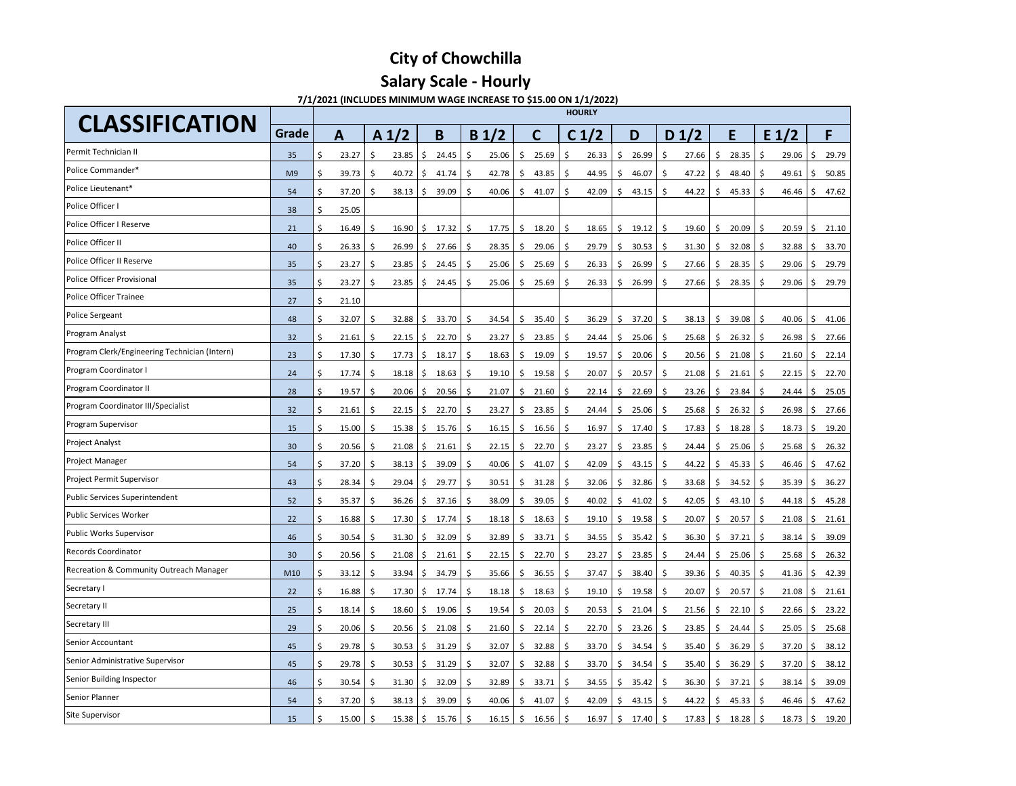**7/1/2021 (INCLUDES MINIMUM WAGE INCREASE TO \$15.00 ON 1/1/2022)**

| <b>CLASSIFICATION</b>                              |                |                      |                             |                          |                  |                       | <b>HOURLY</b>               |                               |                       |                              |                                                   |
|----------------------------------------------------|----------------|----------------------|-----------------------------|--------------------------|------------------|-----------------------|-----------------------------|-------------------------------|-----------------------|------------------------------|---------------------------------------------------|
|                                                    | Grade          | A                    | A <sub>1</sub> /2           | B                        | B <sub>1/2</sub> | C                     | C <sub>1</sub> /2           | D                             | D <sub>1/2</sub>      | E                            | F<br>$E_1/2$                                      |
| Permit Technician II                               | 35             | 23.27                | 23.85<br>S.                 | 24.45<br>\$              | 25.06            | 25.69                 | 26.33<br>S                  | 26.99<br>-S                   | 27.66<br><sub>S</sub> | 28.35<br><sub>S</sub>        | 29.06<br>29.79<br>\$<br>-S                        |
| Police Commander*                                  | M <sub>9</sub> | 39.73                | \$<br>40.72                 | 41.74<br>$\mathsf{S}$    | 42.78            | 43.85<br><sub>S</sub> | 44.95<br>-S                 | 46.07<br>\$                   | 47.22<br>\$           | 48.40                        | 50.85<br>49.61<br>$\varsigma$<br>l Ş              |
| Police Lieutenant*                                 | 54             | 37.20<br>\$          | 38.13<br>-S                 | 39.09<br>I Ş.            | 40.06            | 41.07<br>S            | 42.09<br>S.                 | 43.15<br>S.                   | 44.22<br>Ŝ.           | 45.33<br>S.                  | 47.62<br>46.46<br>$\zeta$<br>l S                  |
| Police Officer I                                   | 38             | \$<br>25.05          |                             |                          |                  |                       |                             |                               |                       |                              |                                                   |
| Police Officer I Reserve                           | 21             | \$<br>16.49          | 16.90<br>-\$                | 17.32<br>$\mathsf{S}$    | 17.75<br>-S      | 18.20<br>S            | 18.65<br>\$                 | 19.12<br>\$                   | \$<br>19.60           | 20.09<br>-S                  | 20.59<br>$\ddot{\zeta}$<br>21.10<br>-S            |
| Police Officer II                                  | 40             | 26.33<br>\$          | 26.99<br>$\varsigma$        | 27.66<br>$\mathsf{S}$    | 28.35<br>-S      | 29.06                 | 29.79<br>-S                 | 30.53<br><sub>S</sub>         | 31.30<br>\$           | 32.08                        | 33.70<br>32.88<br>$\varsigma$                     |
| Police Officer II Reserve                          | 35             | 23.27<br>\$          | 23.85<br>\$                 | 24.45<br>$\varsigma$     | 25.06            | 25.69<br>S            | 26.33<br>\$                 | 26.99<br>\$                   | 27.66<br>\$           | 28.35<br><sub>S</sub>        | 29.06<br>29.79<br>\$                              |
| Police Officer Provisional                         | 35             | 23.27<br>\$          | 23.85<br>\$                 | 24.45<br>$\zeta$         | 25.06<br>-S      | 25.69<br>S            | 26.33<br>\$                 | 26.99<br>-S                   | 27.66<br>S            | 28.35<br>-Ş                  | 29.06<br>29.79<br>$\zeta$<br>-S                   |
| <b>Police Officer Trainee</b>                      | 27             | \$<br>21.10          |                             |                          |                  |                       |                             |                               |                       |                              |                                                   |
| Police Sergeant                                    | 48             | \$<br>32.07          | \$<br>32.88                 | 33.70<br>$\zeta$         | 34.54<br>-\$     | 35.40<br>\$           | $\ddot{\varsigma}$<br>36.29 | 37.20<br>$\frac{1}{2}$        | \$<br>38.13           | 39.08<br>\$                  | 40.06<br>$\zeta$<br>l \$<br>41.06                 |
| Program Analyst                                    | 32             | \$<br>21.61          | -\$<br>22.15                | 22.70<br>l \$            | 23.27<br>-Ŝ      | 23.85<br>\$.          | 24.44<br>-S                 | 25.06<br>-\$                  | 25.68<br>\$           | 26.32<br>-S                  | 27.66<br>26.98<br>$\zeta$<br>IS.                  |
| Program Clerk/Engineering Technician (Intern)      | 23             | 17.30<br>\$          | 17.73<br>- \$               | 18.17<br>l \$            | 18.63<br>-S      | 19.09<br>-S           | 19.57<br>-\$                | 20.06<br>\$                   | 20.56<br>\$           | 21.08<br>\$                  | 22.14<br>21.60<br>$\zeta$<br>l Ş                  |
| Program Coordinator I                              | 24             | \$<br>17.74          | - \$<br>18.18               | 18.63<br>\$              | 19.10            | 19.58<br>S            | 20.07<br>-S                 | 20.57<br>-\$                  | 21.08<br>\$           | 21.61<br>\$                  | 22.15<br>$\zeta$<br>22.70<br>- S                  |
| Program Coordinator II                             | 28             | \$<br>19.57          | \$<br>20.06                 | 20.56<br>\$              | 21.07<br>-S      | 21.60<br>S.           | 22.14<br>-S                 | 22.69<br>\$                   | 23.26<br>\$           | 23.84<br>\$.                 | 24.44<br>$\zeta$<br>25.05<br>-S                   |
| Program Coordinator III/Specialist                 | 32             | \$<br>21.61          | \$<br>22.15                 | \$<br>22.70              | 23.27<br>-S      | 23.85<br>\$           | 24.44<br>-S                 | 25.06<br>-S                   | 25.68<br>\$           | 26.32<br><sub>S</sub>        | 26.98<br>$\zeta$<br>27.66<br>-S                   |
| <b>Program Supervisor</b>                          | 15             | 15.00                | 15.38<br>-\$                | 15.76<br>- Ş             | 16.15<br>-Ş      | 16.56<br>-Ş           | 16.97<br>-\$                | 17.40<br>$\varsigma$          | 17.83<br>-\$          | 18.28<br>-Ş                  | 18.73<br>$\zeta$<br>19.20<br>- Ş                  |
| <b>Project Analyst</b>                             | 30             | $\zeta$<br>20.56     | $\zeta$<br>21.08            | $\zeta$<br>21.61         | 22.15<br>\$      | \$<br>22.70           | \$<br>23.27                 | 23.85<br>\$                   | \$<br>24.44           | $25.06$   \$<br>\$           | $\ddot{\varsigma}$<br>25.68<br>26.32              |
| <b>Project Manager</b>                             | 54             | \$<br>37.20          | -\$<br>38.13                | $39.09$ \$<br>l \$       | 40.06            | \$<br>41.07           | $\ddot{\varsigma}$<br>42.09 | 43.15<br>$\frac{1}{2}$        | 44.22<br>\$           | $45.33$ \$<br>-Ş             | 46.46<br>$\ddot{\zeta}$<br>47.62                  |
| <b>Project Permit Supervisor</b>                   | 43             | \$<br>28.34          | 29.04<br>\$                 | 29.77<br>\$              | 30.51<br>-\$     | 31.28<br>S.           | 32.06<br>-S                 | 32.86<br>-S                   | 33.68<br>\$           | 34.52<br><sub>S</sub>        | 36.27<br>35.39<br>$\ddot{\varsigma}$              |
| Public Services Superintendent                     | 52             | \$<br>35.37          | \$<br>36.26                 | 37.16<br>$\ddot{\zeta}$  | 38.09<br>-\$     | 39.05<br>S            | 40.02<br>-\$                | 41.02<br>$\varsigma$          | 42.05<br>\$           | $43.10$ \$<br>\$             | 45.28<br>44.18<br>$\zeta$                         |
| <b>Public Services Worker</b>                      | 22             | \$<br>16.88          | 17.30<br>$\zeta$            | 17.74<br>  \$            | -\$<br>18.18     | 18.63<br>\$           | 19.10<br>$\mathsf{S}$       | 19.58<br>$\zeta$              | 20.07<br>\$           | 20.57<br>\$                  | 21.08<br>21.61<br>$\zeta$<br>-\$                  |
| <b>Public Works Supervisor</b>                     | 46             | \$<br>30.54          | 31.30<br>\$                 | 32.09<br>$\ddot{\zeta}$  | 32.89            | 33.71<br>\$.          | 34.55<br>\$                 | 35.42<br>$\zeta$              | 36.30<br>\$           | 37.21<br>\$                  | 39.09<br>38.14<br>$\zeta$                         |
| <b>Records Coordinator</b>                         | 30             | $\varsigma$<br>20.56 | - \$<br>21.08               | $21.61 \mid \xi$<br>  \$ | 22.15            | 22.70<br>$\zeta$      | 23.27<br>$\ddot{\varsigma}$ | 23.85<br>$\zeta$              | 24.44<br>\$           | $25.06$ \$<br>\$             | 26.32<br>$25.68$   \$                             |
| <b>Recreation &amp; Community Outreach Manager</b> | M10            | \$<br>33.12          | $\ddot{\varsigma}$<br>33.94 | 34.79<br>  \$            | 35.66<br>-S      | 36.55<br>-\$          | 37.47<br>\$                 | 38.40<br>$\zeta$              | 39.36<br>\$           | $40.35$ \$<br>\$             | 42.39<br>41.36<br>$\zeta$                         |
| Secretary I                                        | 22             | \$<br>16.88          | - \$<br>$17.30 \mid \xi$    | 17.74   \$               | 18.18            | 18.63<br>-S           | 19.10<br>-\$                | 19.58<br>$\zeta$              | 20.07<br>\$           | 20.57<br>\$                  | 21.08<br>21.61<br>$\zeta$<br>l S                  |
| Secretary II                                       | 25             | \$<br>18.14          | 15<br>$18.60 \mid \xi$      | $19.06$   \$             | 19.54            | 20.03<br>-\$          | \$<br>20.53                 | 21.04<br>$\zeta$              | \$<br>21.56           | $22.10$   \$<br>$\mathsf{S}$ | 22.66<br>23.22<br>l \$                            |
| Secretary III                                      | 29             | \$<br>20.06          | - \$<br>$20.56$ \$          | 21.08                    | 21.60<br>- S     | 22.14<br>\$           | 22.70<br>-S                 | 23.26<br>\$                   | 23.85<br>\$           | $24.44$   \$<br>\$.          | 25.68<br>25.05<br>$\zeta$                         |
| Senior Accountant                                  | 45             | \$<br>29.78          | 30.53<br>-\$                | l \$<br>31.29            | 32.07<br>-\$     | 32.88<br>-\$          | 33.70<br>-S                 | 34.54<br>$\frac{1}{2}$        | \$<br>35.40           | 36.29<br>$\mathsf{S}$        | $\zeta$<br>38.12<br>37.20<br>l Ş                  |
| Senior Administrative Supervisor                   | 45             | \$<br>29.78          | 30.53<br>- \$               | 31.29<br>  \$            | 32.07<br>- S     | 32.88<br>\$           | 33.70<br>-\$                | 34.54<br>$\mathsf{S}$         | \$<br>35.40           | 36.29   \$<br>\$             | 38.12<br>37.20<br>$\zeta$                         |
| Senior Building Inspector                          | 46             | \$<br>30.54          | $31.30 \mid \xi$<br>\$      | 32.09                    | 32.89<br>- S     | 33.71<br>\$           | 34.55<br>-S                 | 35.42<br>-\$                  | 36.30<br>-S           | 37.21<br>\$                  | 39.09<br>$38.14$   \$<br>$\overline{\phantom{a}}$ |
| Senior Planner                                     | 54             | \$<br>37.20          | - \$<br>$38.13$   \$        | $39.09$   \$             | 40.06            | 41.07<br>\$           | -\$<br>42.09                | 43.15<br>-Ş                   | \$<br>44.22           | $45.33$   \$<br>\$           | \$<br>47.62<br>46.46                              |
| Site Supervisor                                    | 15             | \$<br>$15.00$   \$   | $15.38$   \$                | $15.76$   \$             | 16.15            | 16.56<br>\$           | 16.97<br>-\$                | $17.40 \mid \zeta$<br>$\zeta$ | 17.83                 | $18.28$ \$<br>$\mathsf{S}$   | $18.73$ \$<br>19.20                               |